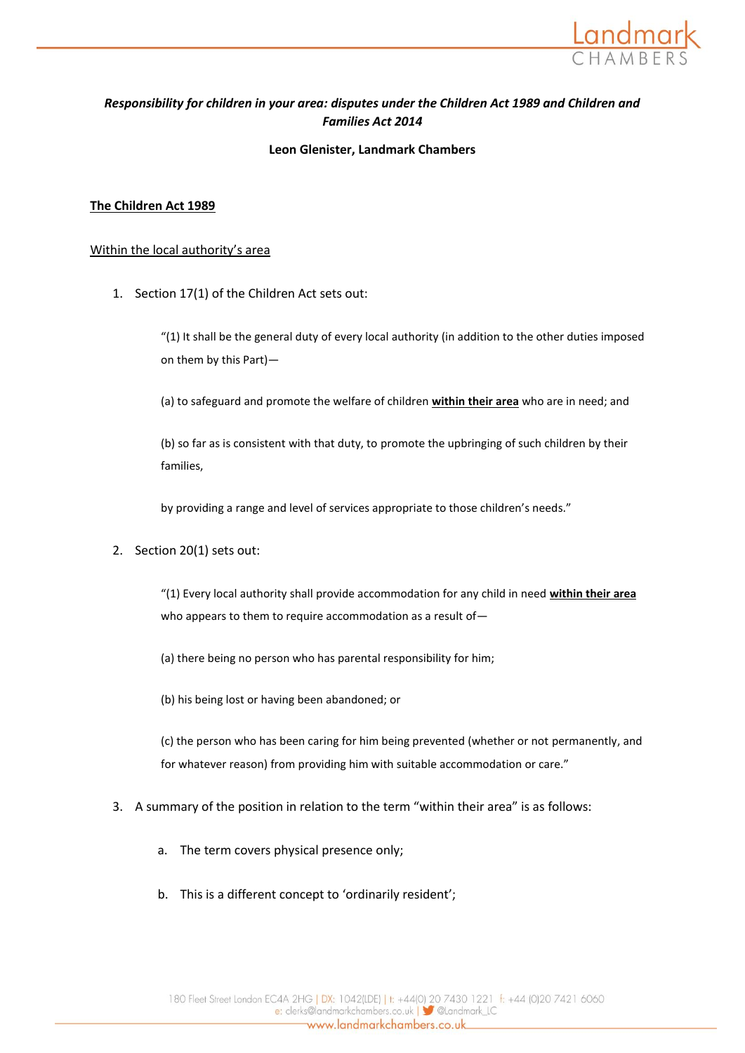

# *Responsibility for children in your area: disputes under the Children Act 1989 and Children and Families Act 2014*

### **Leon Glenister, Landmark Chambers**

### **The Children Act 1989**

#### Within the local authority's area

1. Section 17(1) of the Children Act sets out:

"(1) It shall be the general duty of every local authority (in addition to the other duties imposed on them by this Part)—

(a) to safeguard and promote the welfare of children **within their area** who are in need; and

(b) so far as is consistent with that duty, to promote the upbringing of such children by their families,

by providing a range and level of services appropriate to those children's needs."

2. Section 20(1) sets out:

"(1) Every local authority shall provide accommodation for any child in need **within their area** who appears to them to require accommodation as a result of—

(a) there being no person who has parental responsibility for him;

(b) his being lost or having been abandoned; or

(c) the person who has been caring for him being prevented (whether or not permanently, and for whatever reason) from providing him with suitable accommodation or care."

- 3. A summary of the position in relation to the term "within their area" is as follows:
	- a. The term covers physical presence only;
	- b. This is a different concept to 'ordinarily resident';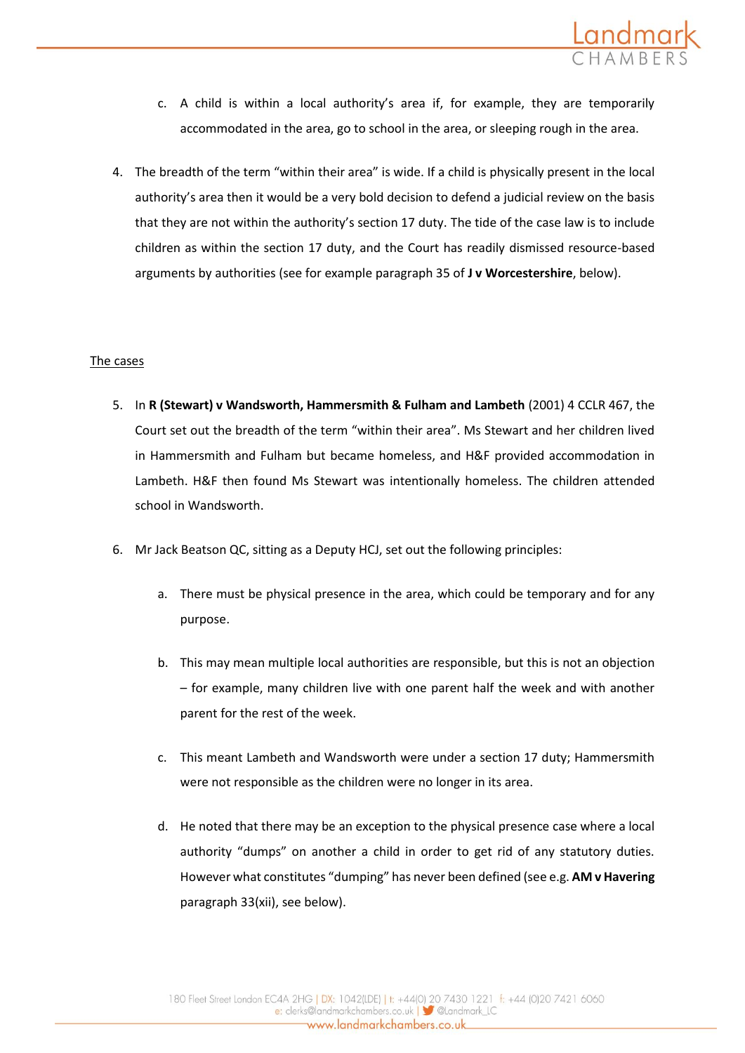

- c. A child is within a local authority's area if, for example, they are temporarily accommodated in the area, go to school in the area, or sleeping rough in the area.
- 4. The breadth of the term "within their area" is wide. If a child is physically present in the local authority's area then it would be a very bold decision to defend a judicial review on the basis that they are not within the authority's section 17 duty. The tide of the case law is to include children as within the section 17 duty, and the Court has readily dismissed resource-based arguments by authorities (see for example paragraph 35 of **J v Worcestershire**, below).

### The cases

- 5. In **R (Stewart) v Wandsworth, Hammersmith & Fulham and Lambeth** (2001) 4 CCLR 467, the Court set out the breadth of the term "within their area". Ms Stewart and her children lived in Hammersmith and Fulham but became homeless, and H&F provided accommodation in Lambeth. H&F then found Ms Stewart was intentionally homeless. The children attended school in Wandsworth.
- 6. Mr Jack Beatson QC, sitting as a Deputy HCJ, set out the following principles:
	- a. There must be physical presence in the area, which could be temporary and for any purpose.
	- b. This may mean multiple local authorities are responsible, but this is not an objection – for example, many children live with one parent half the week and with another parent for the rest of the week.
	- c. This meant Lambeth and Wandsworth were under a section 17 duty; Hammersmith were not responsible as the children were no longer in its area.
	- d. He noted that there may be an exception to the physical presence case where a local authority "dumps" on another a child in order to get rid of any statutory duties. However what constitutes "dumping" has never been defined (see e.g. **AM v Havering** paragraph 33(xii), see below).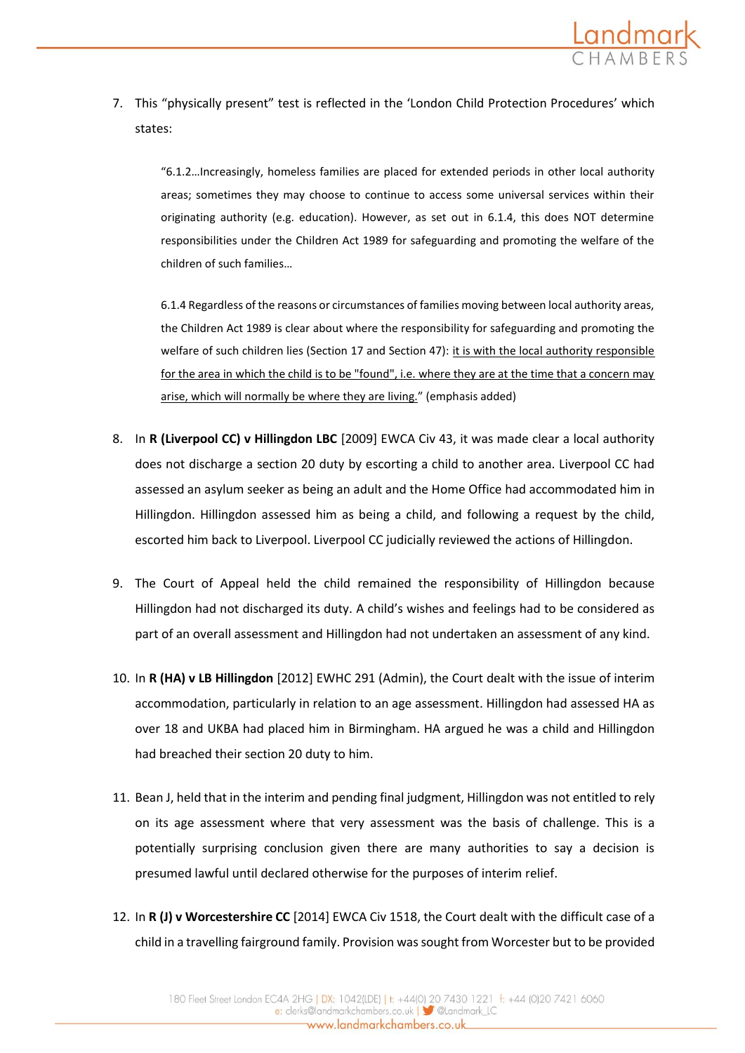

7. This "physically present" test is reflected in the 'London Child Protection Procedures' which states:

"6.1.2…Increasingly, homeless families are placed for extended periods in other local authority areas; sometimes they may choose to continue to access some universal services within their originating authority (e.g. education). However, as set out in 6.1.4, this does NOT determine responsibilities under the Children Act 1989 for safeguarding and promoting the welfare of the children of such families…

6.1.4 Regardless of the reasons or circumstances of families moving between local authority areas, the Children Act 1989 is clear about where the responsibility for safeguarding and promoting the welfare of such children lies (Section 17 and Section 47): it is with the local authority responsible for the area in which the child is to be "found", i.e. where they are at the time that a concern may arise, which will normally be where they are living." (emphasis added)

- 8. In **R (Liverpool CC) v Hillingdon LBC** [2009] EWCA Civ 43, it was made clear a local authority does not discharge a section 20 duty by escorting a child to another area. Liverpool CC had assessed an asylum seeker as being an adult and the Home Office had accommodated him in Hillingdon. Hillingdon assessed him as being a child, and following a request by the child, escorted him back to Liverpool. Liverpool CC judicially reviewed the actions of Hillingdon.
- 9. The Court of Appeal held the child remained the responsibility of Hillingdon because Hillingdon had not discharged its duty. A child's wishes and feelings had to be considered as part of an overall assessment and Hillingdon had not undertaken an assessment of any kind.
- 10. In **R (HA) v LB Hillingdon** [2012] EWHC 291 (Admin), the Court dealt with the issue of interim accommodation, particularly in relation to an age assessment. Hillingdon had assessed HA as over 18 and UKBA had placed him in Birmingham. HA argued he was a child and Hillingdon had breached their section 20 duty to him.
- 11. Bean J, held that in the interim and pending final judgment, Hillingdon was not entitled to rely on its age assessment where that very assessment was the basis of challenge. This is a potentially surprising conclusion given there are many authorities to say a decision is presumed lawful until declared otherwise for the purposes of interim relief.
- 12. In **R (J) v Worcestershire CC** [2014] EWCA Civ 1518, the Court dealt with the difficult case of a child in a travelling fairground family. Provision was sought from Worcester but to be provided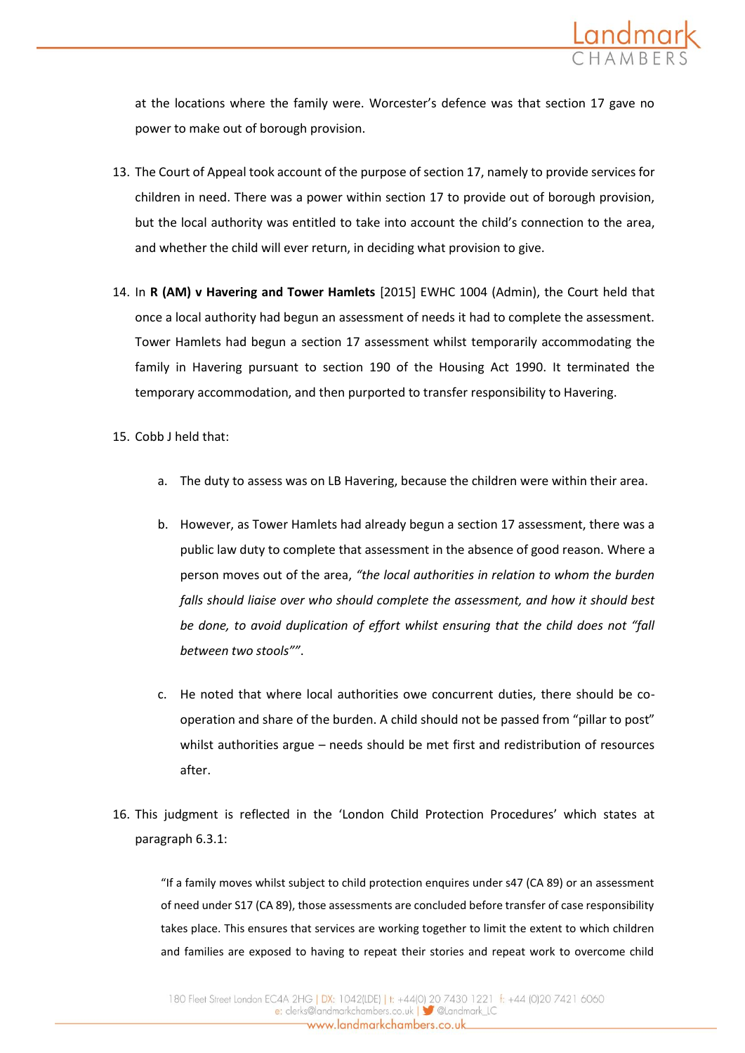

at the locations where the family were. Worcester's defence was that section 17 gave no power to make out of borough provision.

- 13. The Court of Appeal took account of the purpose of section 17, namely to provide services for children in need. There was a power within section 17 to provide out of borough provision, but the local authority was entitled to take into account the child's connection to the area, and whether the child will ever return, in deciding what provision to give.
- 14. In **R (AM) v Havering and Tower Hamlets** [2015] EWHC 1004 (Admin), the Court held that once a local authority had begun an assessment of needs it had to complete the assessment. Tower Hamlets had begun a section 17 assessment whilst temporarily accommodating the family in Havering pursuant to section 190 of the Housing Act 1990. It terminated the temporary accommodation, and then purported to transfer responsibility to Havering.
- 15. Cobb J held that:
	- a. The duty to assess was on LB Havering, because the children were within their area.
	- b. However, as Tower Hamlets had already begun a section 17 assessment, there was a public law duty to complete that assessment in the absence of good reason. Where a person moves out of the area, *"the local authorities in relation to whom the burden falls should liaise over who should complete the assessment, and how it should best be done, to avoid duplication of effort whilst ensuring that the child does not "fall between two stools""*.
	- c. He noted that where local authorities owe concurrent duties, there should be cooperation and share of the burden. A child should not be passed from "pillar to post" whilst authorities argue – needs should be met first and redistribution of resources after.
- 16. This judgment is reflected in the 'London Child Protection Procedures' which states at paragraph 6.3.1:

"If a family moves whilst subject to child protection enquires under s47 (CA 89) or an assessment of need under S17 (CA 89), those assessments are concluded before transfer of case responsibility takes place. This ensures that services are working together to limit the extent to which children and families are exposed to having to repeat their stories and repeat work to overcome child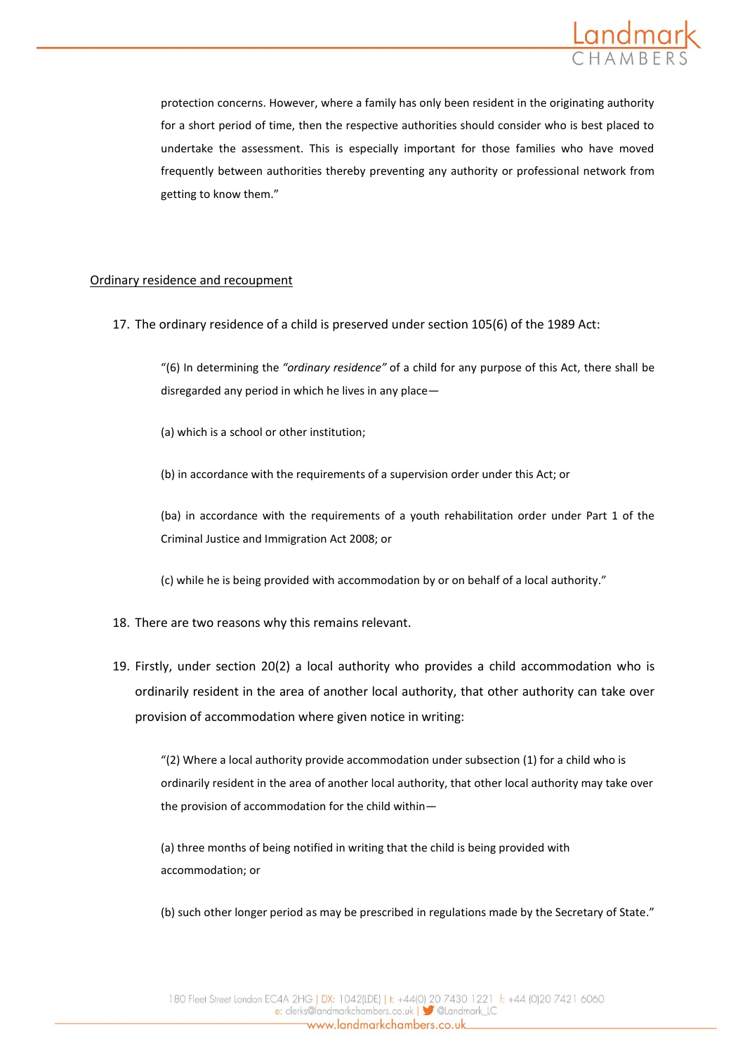

protection concerns. However, where a family has only been resident in the originating authority for a short period of time, then the respective authorities should consider who is best placed to undertake the assessment. This is especially important for those families who have moved frequently between authorities thereby preventing any authority or professional network from getting to know them."

### Ordinary residence and recoupment

17. The ordinary residence of a child is preserved under section 105(6) of the 1989 Act:

"(6) In determining the *"ordinary residence"* of a child for any purpose of this Act, there shall be disregarded any period in which he lives in any place—

(a) which is a school or other institution;

(b) in accordance with the requirements of a supervision order under this Act; or

(ba) in accordance with the requirements of a youth rehabilitation order under Part 1 of the Criminal Justice and Immigration Act 2008; or

(c) while he is being provided with accommodation by or on behalf of a local authority."

- 18. There are two reasons why this remains relevant.
- 19. Firstly, under section 20(2) a local authority who provides a child accommodation who is ordinarily resident in the area of another local authority, that other authority can take over provision of accommodation where given notice in writing:

"(2) Where a local authority provide accommodation under subsection (1) for a child who is ordinarily resident in the area of another local authority, that other local authority may take over the provision of accommodation for the child within—

(a) three months of being notified in writing that the child is being provided with accommodation; or

(b) such other longer period as may be prescribed in regulations made by the Secretary of State."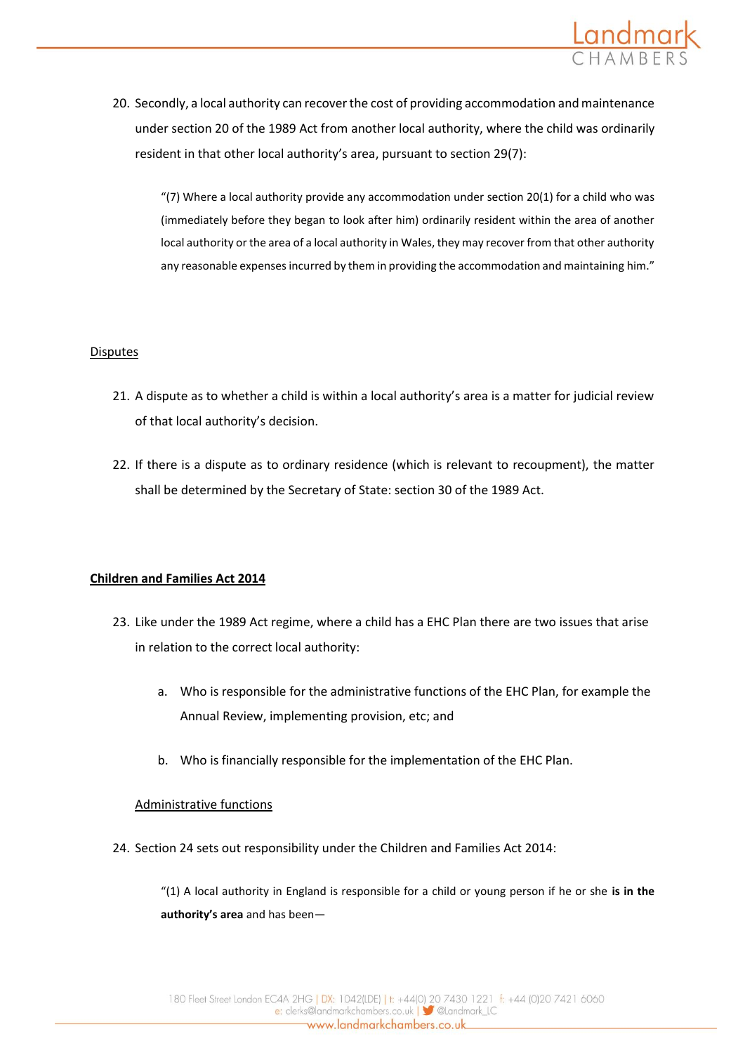

20. Secondly, a local authority can recover the cost of providing accommodation and maintenance under section 20 of the 1989 Act from another local authority, where the child was ordinarily resident in that other local authority's area, pursuant to section 29(7):

"(7) Where a local authority provide any accommodation under section 20(1) for a child who was (immediately before they began to look after him) ordinarily resident within the area of another local authority or the area of a local authority in Wales, they may recover from that other authority any reasonable expenses incurred by them in providing the accommodation and maintaining him."

### Disputes

- 21. A dispute as to whether a child is within a local authority's area is a matter for judicial review of that local authority's decision.
- 22. If there is a dispute as to ordinary residence (which is relevant to recoupment), the matter shall be determined by the Secretary of State: section 30 of the 1989 Act.

### **Children and Families Act 2014**

- 23. Like under the 1989 Act regime, where a child has a EHC Plan there are two issues that arise in relation to the correct local authority:
	- a. Who is responsible for the administrative functions of the EHC Plan, for example the Annual Review, implementing provision, etc; and
	- b. Who is financially responsible for the implementation of the EHC Plan.

### Administrative functions

24. Section 24 sets out responsibility under the Children and Families Act 2014:

"(1) A local authority in England is responsible for a child or young person if he or she **is in the authority's area** and has been—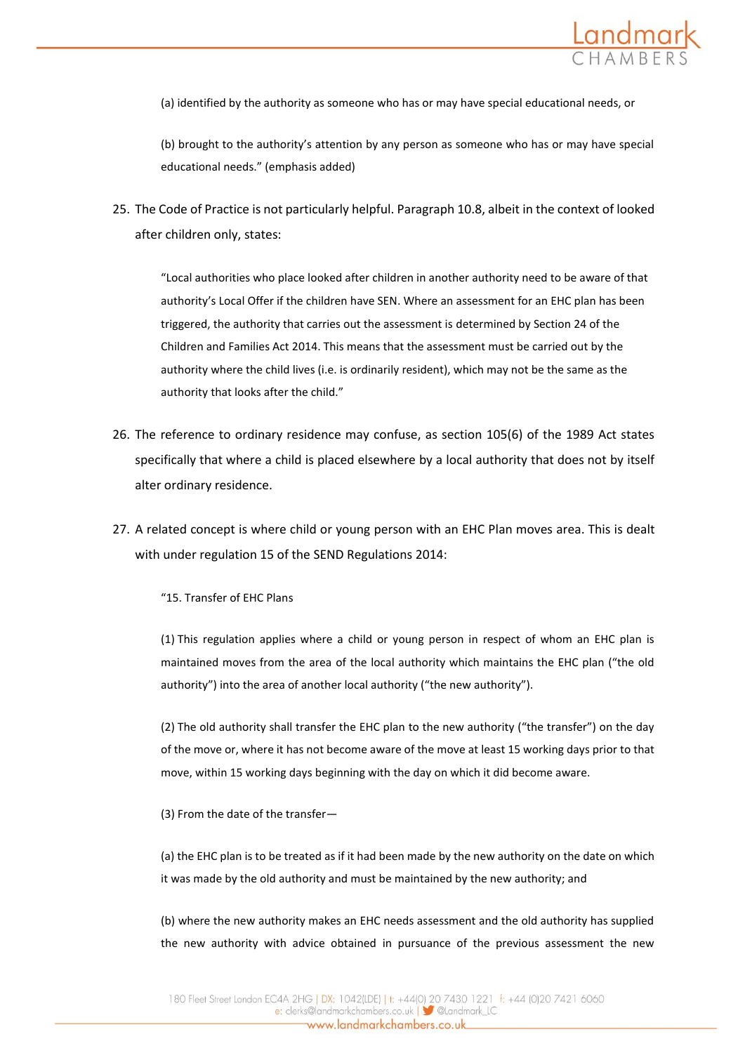

(a) identified by the authority as someone who has or may have special educational needs, or

(b) brought to the authority's attention by any person as someone who has or may have special educational needs." (emphasis added)

25. The Code of Practice is not particularly helpful. Paragraph 10.8, albeit in the context of looked after children only, states:

"Local authorities who place looked after children in another authority need to be aware of that authority's Local Offer if the children have SEN. Where an assessment for an EHC plan has been triggered, the authority that carries out the assessment is determined by Section 24 of the Children and Families Act 2014. This means that the assessment must be carried out by the authority where the child lives (i.e. is ordinarily resident), which may not be the same as the authority that looks after the child."

- 26. The reference to ordinary residence may confuse, as section 105(6) of the 1989 Act states specifically that where a child is placed elsewhere by a local authority that does not by itself alter ordinary residence.
- 27. A related concept is where child or young person with an EHC Plan moves area. This is dealt with under regulation 15 of the SEND Regulations 2014:

"15. Transfer of EHC Plans

(1) This regulation applies where a child or young person in respect of whom an EHC plan is maintained moves from the area of the local authority which maintains the EHC plan ("the old authority") into the area of another local authority ("the new authority").

(2) The old authority shall transfer the EHC plan to the new authority ("the transfer") on the day of the move or, where it has not become aware of the move at least 15 working days prior to that move, within 15 working days beginning with the day on which it did become aware.

(3) From the date of the transfer—

(a) the EHC plan is to be treated as if it had been made by the new authority on the date on which it was made by the old authority and must be maintained by the new authority; and

(b) where the new authority makes an EHC needs assessment and the old authority has supplied the new authority with advice obtained in pursuance of the previous assessment the new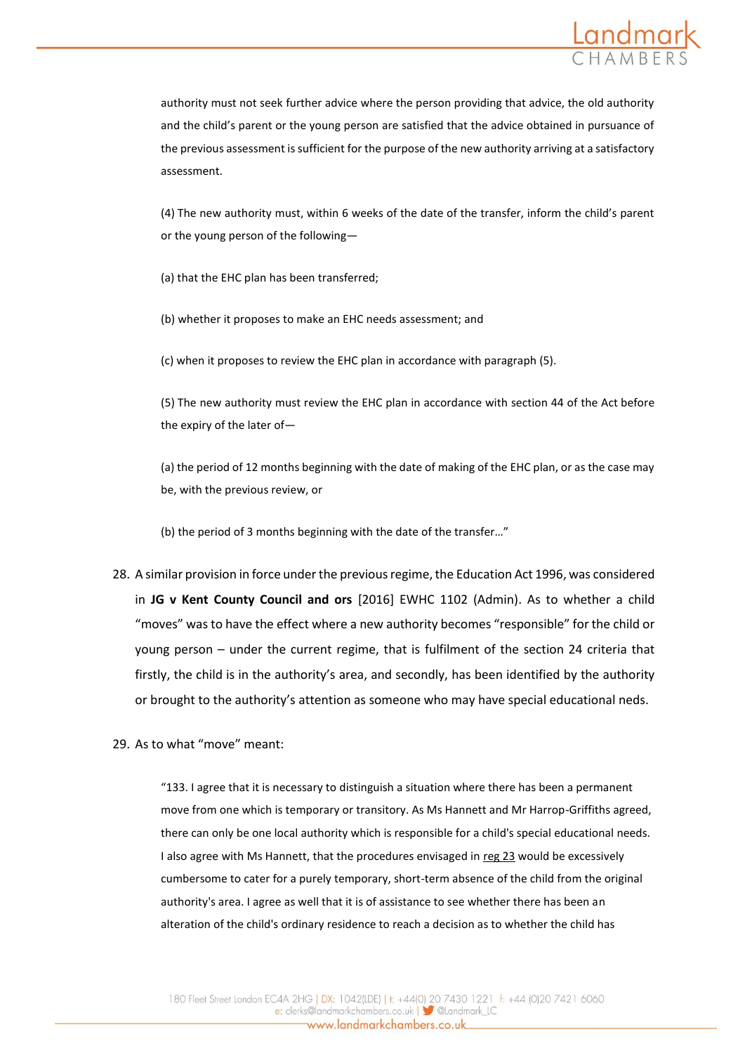

authority must not seek further advice where the person providing that advice, the old authority and the child's parent or the young person are satisfied that the advice obtained in pursuance of the previous assessment is sufficient for the purpose of the new authority arriving at a satisfactory assessment.

(4) The new authority must, within 6 weeks of the date of the transfer, inform the child's parent or the young person of the following—

(a) that the EHC plan has been transferred;

(b) whether it proposes to make an EHC needs assessment; and

(c) when it proposes to review the EHC plan in accordance with paragraph (5).

(5) The new authority must review the EHC plan in accordance with section 44 of the Act before the expiry of the later of—

(a) the period of 12 months beginning with the date of making of the EHC plan, or as the case may be, with the previous review, or

(b) the period of 3 months beginning with the date of the transfer…"

- 28. A similar provision in force under the previous regime, the Education Act 1996, was considered in **JG v Kent County Council and ors** [2016] EWHC 1102 (Admin). As to whether a child "moves" was to have the effect where a new authority becomes "responsible" for the child or young person – under the current regime, that is fulfilment of the section 24 criteria that firstly, the child is in the authority's area, and secondly, has been identified by the authority or brought to the authority's attention as someone who may have special educational neds.
- 29. As to what "move" meant:

"133. I agree that it is necessary to distinguish a situation where there has been a permanent move from one which is temporary or transitory. As Ms Hannett and Mr Harrop-Griffiths agreed, there can only be one local authority which is responsible for a child's special educational needs. I also agree with Ms Hannett, that the procedures envisaged in [reg 23](https://login.westlaw.co.uk/maf/wluk/app/document?src=doc&linktype=ref&context=119&crumb-action=replace&docguid=I75AD9770E42311DAA7CF8F68F6EE57AB) would be excessively cumbersome to cater for a purely temporary, short-term absence of the child from the original authority's area. I agree as well that it is of assistance to see whether there has been an alteration of the child's ordinary residence to reach a decision as to whether the child has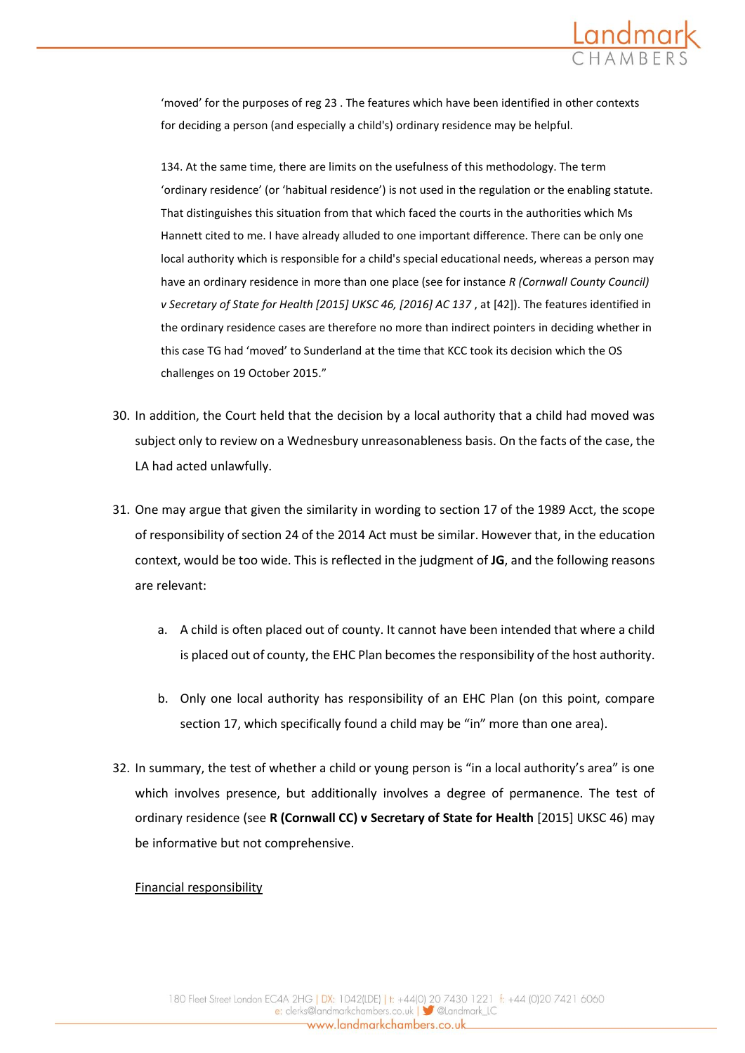

'moved' for the purposes of reg 23 . The features which have been identified in other contexts for deciding a person (and especially a child's) ordinary residence may be helpful.

134. At the same time, there are limits on the usefulness of this methodology. The term 'ordinary residence' (or 'habitual residence') is not used in the regulation or the enabling statute. That distinguishes this situation from that which faced the courts in the authorities which Ms Hannett cited to me. I have already alluded to one important difference. There can be only one local authority which is responsible for a child's special educational needs, whereas a person may have an ordinary residence in more than one place (see for instance *R (Cornwall County Council) v Secretary of State for Health [2015] UKSC 46, [2016] AC 137* , at [42]). The features identified in the ordinary residence cases are therefore no more than indirect pointers in deciding whether in this case TG had 'moved' to Sunderland at the time that KCC took its decision which the OS challenges on 19 October 2015."

- 30. In addition, the Court held that the decision by a local authority that a child had moved was subject only to review on a Wednesbury unreasonableness basis. On the facts of the case, the LA had acted unlawfully.
- 31. One may argue that given the similarity in wording to section 17 of the 1989 Acct, the scope of responsibility of section 24 of the 2014 Act must be similar. However that, in the education context, would be too wide. This is reflected in the judgment of **JG**, and the following reasons are relevant:
	- a. A child is often placed out of county. It cannot have been intended that where a child is placed out of county, the EHC Plan becomes the responsibility of the host authority.
	- b. Only one local authority has responsibility of an EHC Plan (on this point, compare section 17, which specifically found a child may be "in" more than one area).
- 32. In summary, the test of whether a child or young person is "in a local authority's area" is one which involves presence, but additionally involves a degree of permanence. The test of ordinary residence (see **R (Cornwall CC) v Secretary of State for Health** [2015] UKSC 46) may be informative but not comprehensive.

## Financial responsibility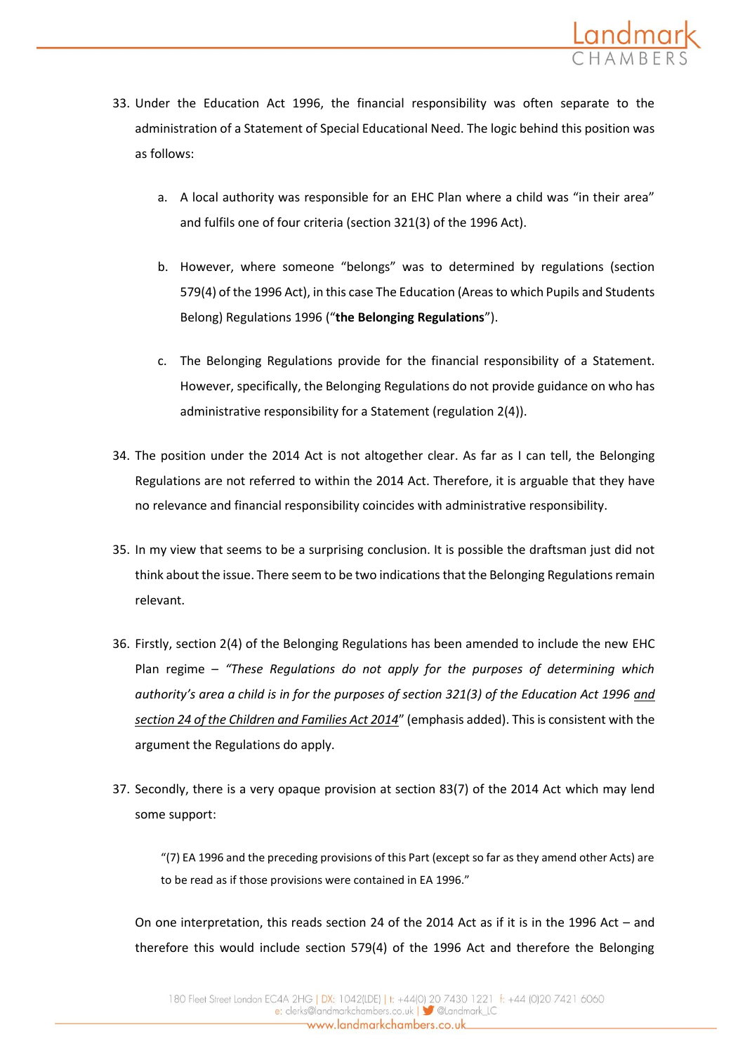

- 33. Under the Education Act 1996, the financial responsibility was often separate to the administration of a Statement of Special Educational Need. The logic behind this position was as follows:
	- a. A local authority was responsible for an EHC Plan where a child was "in their area" and fulfils one of four criteria (section 321(3) of the 1996 Act).
	- b. However, where someone "belongs" was to determined by regulations (section 579(4) of the 1996 Act), in this case The Education (Areas to which Pupils and Students Belong) Regulations 1996 ("**the Belonging Regulations**").
	- c. The Belonging Regulations provide for the financial responsibility of a Statement. However, specifically, the Belonging Regulations do not provide guidance on who has administrative responsibility for a Statement (regulation 2(4)).
- 34. The position under the 2014 Act is not altogether clear. As far as I can tell, the Belonging Regulations are not referred to within the 2014 Act. Therefore, it is arguable that they have no relevance and financial responsibility coincides with administrative responsibility.
- 35. In my view that seems to be a surprising conclusion. It is possible the draftsman just did not think about the issue. There seem to be two indications that the Belonging Regulations remain relevant.
- 36. Firstly, section 2(4) of the Belonging Regulations has been amended to include the new EHC Plan regime – *"These Regulations do not apply for the purposes of determining which*  authority's area a child is in for the purposes of section 321(3) of the Education Act 1996 and *section 24 of the Children and Families Act 2014*" (emphasis added). This is consistent with the argument the Regulations do apply.
- 37. Secondly, there is a very opaque provision at section 83(7) of the 2014 Act which may lend some support:

"(7) EA 1996 and the preceding provisions of this Part (except so far as they amend other Acts) are to be read as if those provisions were contained in EA 1996."

On one interpretation, this reads section 24 of the 2014 Act as if it is in the 1996 Act – and therefore this would include section 579(4) of the 1996 Act and therefore the Belonging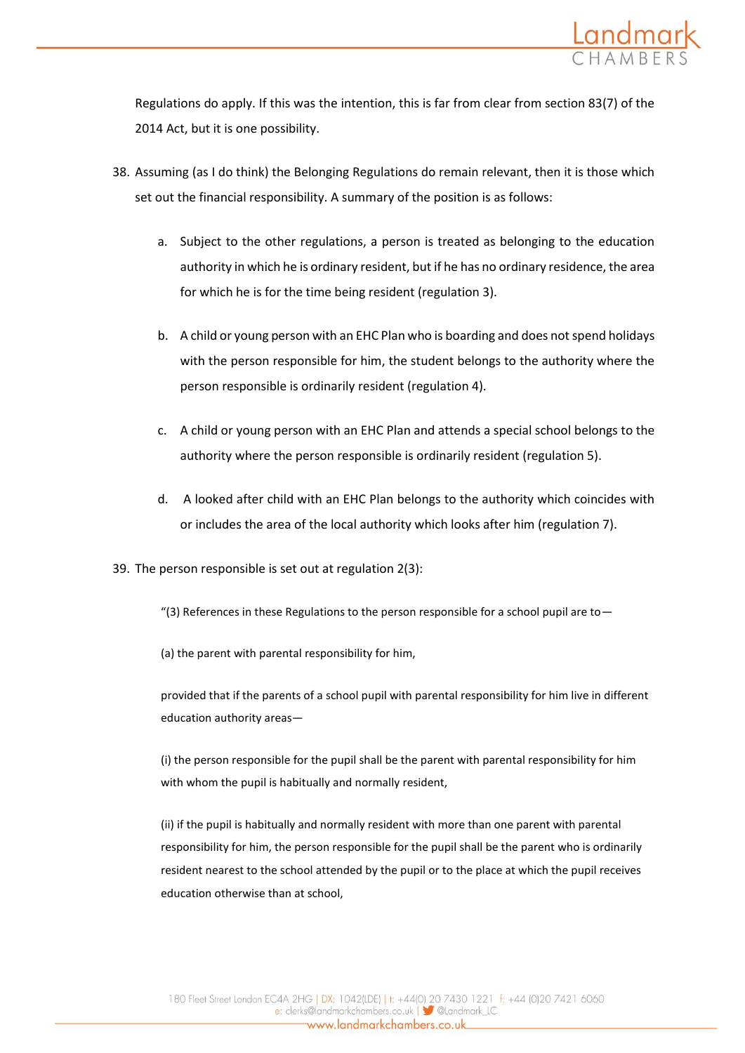

Regulations do apply. If this was the intention, this is far from clear from section 83(7) of the 2014 Act, but it is one possibility.

- 38. Assuming (as I do think) the Belonging Regulations do remain relevant, then it is those which set out the financial responsibility. A summary of the position is as follows:
	- a. Subject to the other regulations, a person is treated as belonging to the education authority in which he is ordinary resident, but if he has no ordinary residence, the area for which he is for the time being resident (regulation 3).
	- b. A child or young person with an EHC Plan who is boarding and does not spend holidays with the person responsible for him, the student belongs to the authority where the person responsible is ordinarily resident (regulation 4).
	- c. A child or young person with an EHC Plan and attends a special school belongs to the authority where the person responsible is ordinarily resident (regulation 5).
	- d. A looked after child with an EHC Plan belongs to the authority which coincides with or includes the area of the local authority which looks after him (regulation 7).
- 39. The person responsible is set out at regulation 2(3):
	- "(3) References in these Regulations to the person responsible for a school pupil are to  $-$
	- (a) the parent with parental responsibility for him,

provided that if the parents of a school pupil with parental responsibility for him live in different education authority areas—

(i) the person responsible for the pupil shall be the parent with parental responsibility for him with whom the pupil is habitually and normally resident,

(ii) if the pupil is habitually and normally resident with more than one parent with parental responsibility for him, the person responsible for the pupil shall be the parent who is ordinarily resident nearest to the school attended by the pupil or to the place at which the pupil receives education otherwise than at school,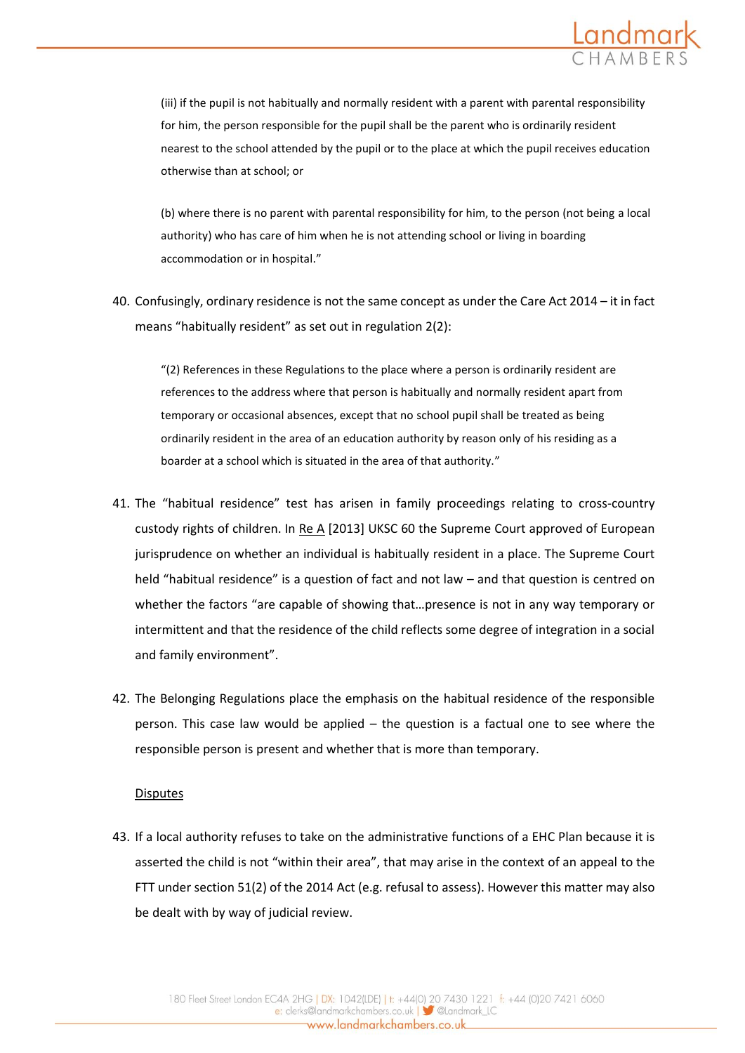

(iii) if the pupil is not habitually and normally resident with a parent with parental responsibility for him, the person responsible for the pupil shall be the parent who is ordinarily resident nearest to the school attended by the pupil or to the place at which the pupil receives education otherwise than at school; or

(b) where there is no parent with parental responsibility for him, to the person (not being a local authority) who has care of him when he is not attending school or living in boarding accommodation or in hospital."

40. Confusingly, ordinary residence is not the same concept as under the Care Act 2014 – it in fact means "habitually resident" as set out in regulation 2(2):

"(2) References in these Regulations to the place where a person is ordinarily resident are references to the address where that person is habitually and normally resident apart from temporary or occasional absences, except that no school pupil shall be treated as being ordinarily resident in the area of an education authority by reason only of his residing as a boarder at a school which is situated in the area of that authority."

- 41. The "habitual residence" test has arisen in family proceedings relating to cross-country custody rights of children. In Re A [2013] UKSC 60 the Supreme Court approved of European jurisprudence on whether an individual is habitually resident in a place. The Supreme Court held "habitual residence" is a question of fact and not law – and that question is centred on whether the factors "are capable of showing that…presence is not in any way temporary or intermittent and that the residence of the child reflects some degree of integration in a social and family environment".
- 42. The Belonging Regulations place the emphasis on the habitual residence of the responsible person. This case law would be applied – the question is a factual one to see where the responsible person is present and whether that is more than temporary.

### **Disputes**

43. If a local authority refuses to take on the administrative functions of a EHC Plan because it is asserted the child is not "within their area", that may arise in the context of an appeal to the FTT under section 51(2) of the 2014 Act (e.g. refusal to assess). However this matter may also be dealt with by way of judicial review.